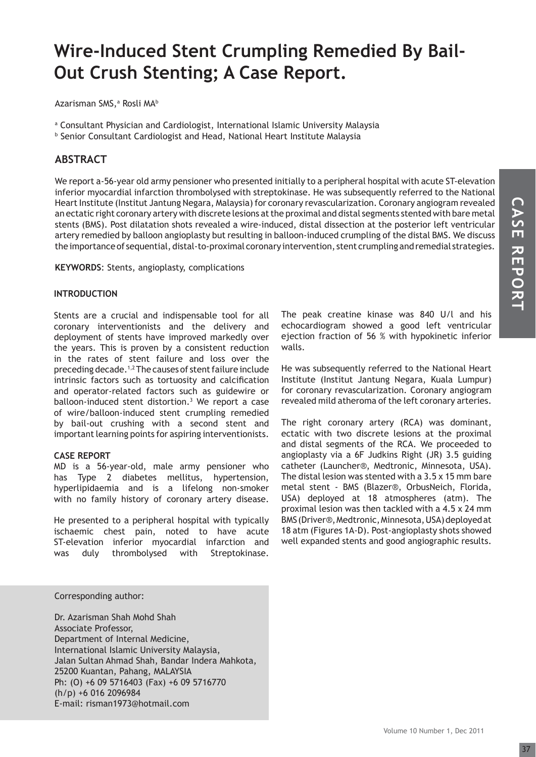# **Wire-Induced Stent Crumpling Remedied By Bail-Out Crush Stenting; A Case Report.**

Azarisman SMS,ª Rosli MA<sup>b</sup>

a Consultant Physician and Cardiologist, International Islamic University Malaysia

b Senior Consultant Cardiologist and Head, National Heart Institute Malaysia

### **ABSTRACT**

We report a-56-year old army pensioner who presented initially to a peripheral hospital with acute ST-elevation inferior myocardial infarction thrombolysed with streptokinase. He was subsequently referred to the National Heart Institute (Institut Jantung Negara, Malaysia) for coronary revascularization. Coronary angiogram revealed an ectatic right coronary artery with discrete lesions at the proximal and distal segments stented with bare metal stents (BMS). Post dilatation shots revealed a wire-induced, distal dissection at the posterior left ventricular artery remedied by balloon angioplasty but resulting in balloon-induced crumpling of the distal BMS. We discuss the importance of sequential, distal-to-proximal coronary intervention, stent crumpling and remedial strategies.

**KEYWORDS**: Stents, angioplasty, complications

#### **INTRODUCTION**

Stents are a crucial and indispensable tool for all coronary interventionists and the delivery and deployment of stents have improved markedly over the years. This is proven by a consistent reduction in the rates of stent failure and loss over the preceding decade.1,2 The causes of stent failure include intrinsic factors such as tortuosity and calcification and operator-related factors such as guidewire or balloon-induced stent distortion.<sup>3</sup> We report a case of wire/balloon-induced stent crumpling remedied by bail-out crushing with a second stent and important learning points for aspiring interventionists.

#### **CASE REPORT**

MD is a 56-year-old, male army pensioner who has Type 2 diabetes mellitus, hypertension, hyperlipidaemia and is a lifelong non-smoker with no family history of coronary artery disease.

He presented to a peripheral hospital with typically ischaemic chest pain, noted to have acute ST-elevation inferior myocardial infarction and was duly thrombolysed with Streptokinase.

The peak creatine kinase was 840 U/l and his echocardiogram showed a good left ventricular ejection fraction of 56 % with hypokinetic inferior walls.

He was subsequently referred to the National Heart Institute (Institut Jantung Negara, Kuala Lumpur) for coronary revascularization. Coronary angiogram revealed mild atheroma of the left coronary arteries.

The right coronary artery (RCA) was dominant, ectatic with two discrete lesions at the proximal and distal segments of the RCA. We proceeded to angioplasty via a 6F Judkins Right (JR) 3.5 guiding catheter (Launcher®, Medtronic, Minnesota, USA). The distal lesion was stented with a 3.5 x 15 mm bare metal stent - BMS (Blazer®, OrbusNeich, Florida, USA) deployed at 18 atmospheres (atm). The proximal lesion was then tackled with a 4.5 x 24 mm BMS (Driver®, Medtronic, Minnesota, USA) deployed at 18 atm (Figures 1A-D). Post-angioplasty shots showed well expanded stents and good angiographic results.

#### Corresponding author:

Dr. Azarisman Shah Mohd Shah Associate Professor, Department of Internal Medicine, International Islamic University Malaysia, Jalan Sultan Ahmad Shah, Bandar Indera Mahkota, 25200 Kuantan, Pahang, MALAYSIA Ph: (O) +6 09 5716403 (Fax) +6 09 5716770 (h/p) +6 016 2096984 E-mail: risman1973@hotmail.com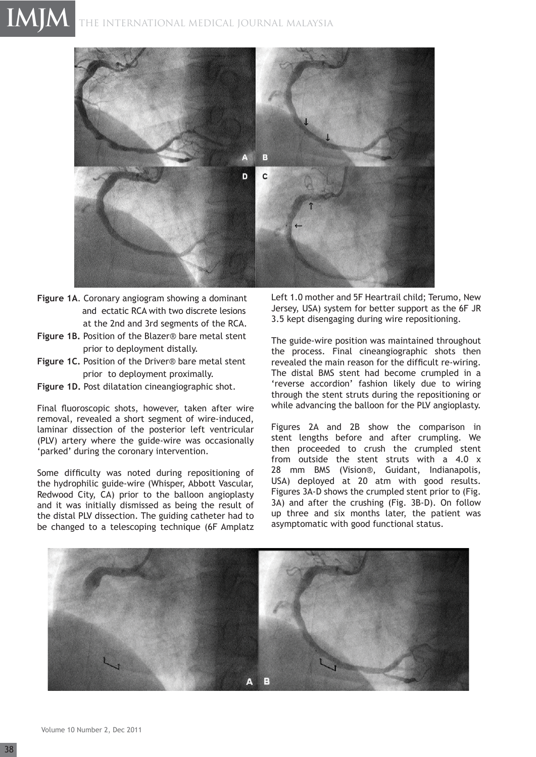## THE INTERNATIONAL MEDICAL JOURNAL Malaysia **IMJM**



- **Figure 1A**. Coronary angiogram showing a dominant and ectatic RCA with two discrete lesions at the 2nd and 3rd segments of the RCA.
- **Figure 1B.** Position of the Blazer® bare metal stent prior to deployment distally.
- **Figure 1C.** Position of the Driver® bare metal stent prior to deployment proximally.
- **Figure 1D.** Post dilatation cineangiographic shot.

Final fluoroscopic shots, however, taken after wire removal, revealed a short segment of wire-induced, laminar dissection of the posterior left ventricular (PLV) artery where the guide-wire was occasionally 'parked' during the coronary intervention.

Some difficulty was noted during repositioning of the hydrophilic guide-wire (Whisper, Abbott Vascular, Redwood City, CA) prior to the balloon angioplasty and it was initially dismissed as being the result of the distal PLV dissection. The guiding catheter had to be changed to a telescoping technique (6F Amplatz Left 1.0 mother and 5F Heartrail child; Terumo, New Jersey, USA) system for better support as the 6F JR 3.5 kept disengaging during wire repositioning.

The guide-wire position was maintained throughout the process. Final cineangiographic shots then revealed the main reason for the difficult re-wiring. The distal BMS stent had become crumpled in a 'reverse accordion' fashion likely due to wiring through the stent struts during the repositioning or while advancing the balloon for the PLV angioplasty.

Figures 2A and 2B show the comparison in stent lengths before and after crumpling. We then proceeded to crush the crumpled stent from outside the stent struts with a 4.0 x 28 mm BMS (Vision®, Guidant, Indianapolis, USA) deployed at 20 atm with good results. Figures 3A-D shows the crumpled stent prior to (Fig. 3A) and after the crushing (Fig. 3B-D). On follow up three and six months later, the patient was asymptomatic with good functional status.